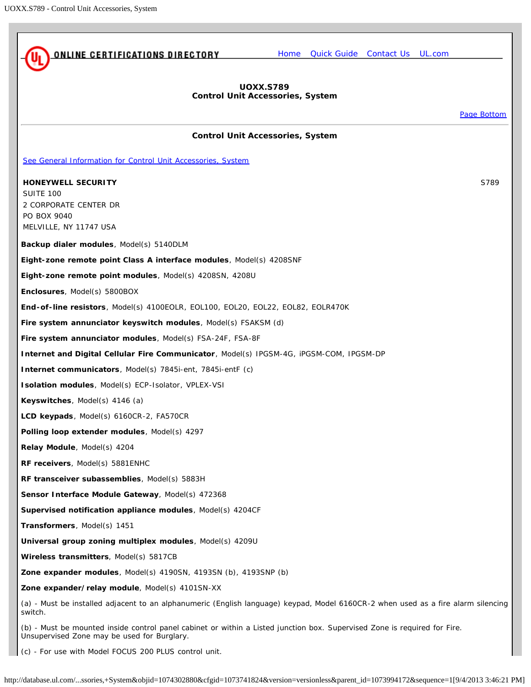<span id="page-0-0"></span>

(c) - For use with Model FOCUS 200 PLUS control unit.